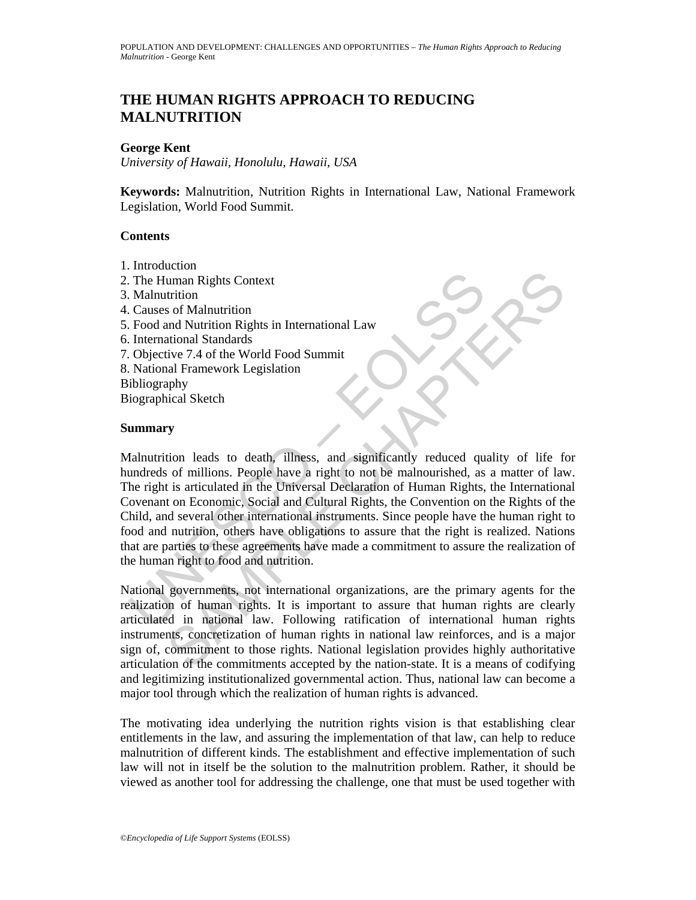# **THE HUMAN RIGHTS APPROACH TO REDUCING MALNUTRITION**

## **George Kent**

*University of Hawaii, Honolulu, Hawaii, USA* 

**Keywords:** Malnutrition, Nutrition Rights in International Law, National Framework Legislation, World Food Summit.

### **Contents**

- 1. Introduction
- 2. The Human Rights Context
- 3. Malnutrition
- 4. Causes of Malnutrition
- 5. Food and Nutrition Rights in International Law
- 6. International Standards
- 7. Objective 7.4 of the World Food Summit
- 8. National Framework Legislation
- Bibliography

Biographical Sketch

### **Summary**

The Human Rights Context<br>
Malnutrition<br>
Causes of Malnutrition<br>
Frood and Nutrition Rights in International Law<br>
Frood and Nutrition Rights in International Law<br>
International Standards<br>
Objective 7.4 of the World Food Sum Exame Trights Context<br>
uman Rights Context<br>
trition<br>
and Murtition Rights in International Law<br>
The Mord Food Sunmit<br>
inver 7.4 of the World Food Sunmit<br>
and Framework Legislation<br>
and Framework Legislation<br>
and Framework Malnutrition leads to death, illness, and significantly reduced quality of life for hundreds of millions. People have a right to not be malnourished, as a matter of law. The right is articulated in the Universal Declaration of Human Rights, the International Covenant on Economic, Social and Cultural Rights, the Convention on the Rights of the Child, and several other international instruments. Since people have the human right to food and nutrition, others have obligations to assure that the right is realized. Nations that are parties to these agreements have made a commitment to assure the realization of the human right to food and nutrition.

National governments, not international organizations, are the primary agents for the realization of human rights. It is important to assure that human rights are clearly articulated in national law. Following ratification of international human rights instruments, concretization of human rights in national law reinforces, and is a major sign of, commitment to those rights. National legislation provides highly authoritative articulation of the commitments accepted by the nation-state. It is a means of codifying and legitimizing institutionalized governmental action. Thus, national law can become a major tool through which the realization of human rights is advanced.

The motivating idea underlying the nutrition rights vision is that establishing clear entitlements in the law, and assuring the implementation of that law, can help to reduce malnutrition of different kinds. The establishment and effective implementation of such law will not in itself be the solution to the malnutrition problem. Rather, it should be viewed as another tool for addressing the challenge, one that must be used together with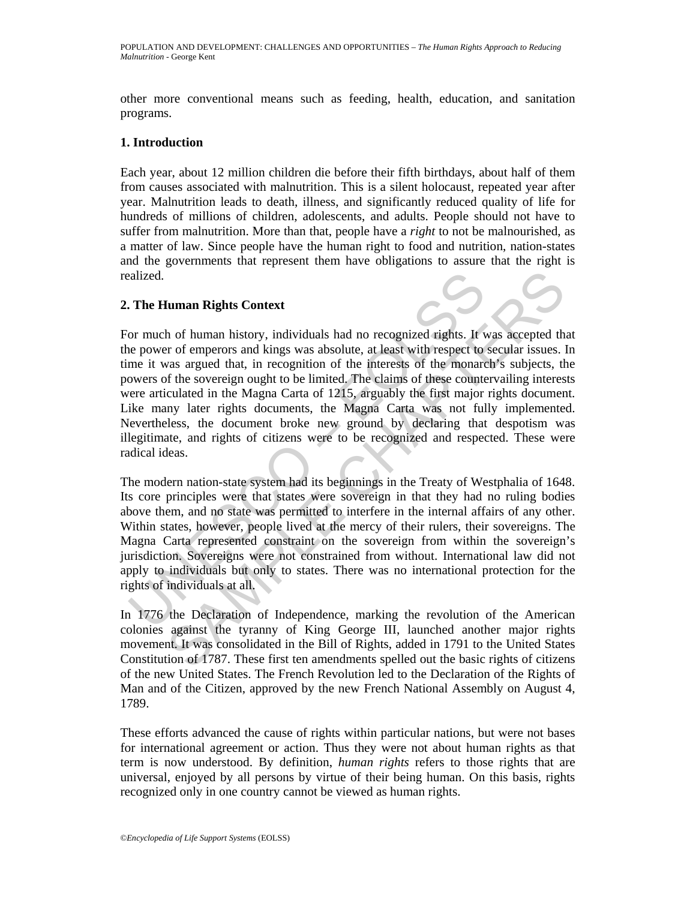other more conventional means such as feeding, health, education, and sanitation programs.

# **1. Introduction**

Each year, about 12 million children die before their fifth birthdays, about half of them from causes associated with malnutrition. This is a silent holocaust, repeated year after year. Malnutrition leads to death, illness, and significantly reduced quality of life for hundreds of millions of children, adolescents, and adults. People should not have to suffer from malnutrition. More than that, people have a *right* to not be malnourished, as a matter of law. Since people have the human right to food and nutrition, nation-states and the governments that represent them have obligations to assure that the right is realized.

# **2. The Human Rights Context**

aalized.<br>
The Human Rights Context<br>
or much of human history, individuals had no recognized rights. It we<br>
nower of emperors and kings was absolute, at least with respect to<br>
me it was argued that, in recognition of the in **It man Rights Context**<br>
In of human history, individuals had no recognized rights. It was accepted the<br>
r of emperors and kings was absolute, at least with respect to secular issues. It<br>
are are are are are are are are ar For much of human history, individuals had no recognized rights. It was accepted that the power of emperors and kings was absolute, at least with respect to secular issues. In time it was argued that, in recognition of the interests of the monarch's subjects, the powers of the sovereign ought to be limited. The claims of these countervailing interests were articulated in the Magna Carta of 1215, arguably the first major rights document. Like many later rights documents, the Magna Carta was not fully implemented. Nevertheless, the document broke new ground by declaring that despotism was illegitimate, and rights of citizens were to be recognized and respected. These were radical ideas.

The modern nation-state system had its beginnings in the Treaty of Westphalia of 1648. Its core principles were that states were sovereign in that they had no ruling bodies above them, and no state was permitted to interfere in the internal affairs of any other. Within states, however, people lived at the mercy of their rulers, their sovereigns. The Magna Carta represented constraint on the sovereign from within the sovereign's jurisdiction. Sovereigns were not constrained from without. International law did not apply to individuals but only to states. There was no international protection for the rights of individuals at all.

In 1776 the Declaration of Independence, marking the revolution of the American colonies against the tyranny of King George III, launched another major rights movement. It was consolidated in the Bill of Rights, added in 1791 to the United States Constitution of 1787. These first ten amendments spelled out the basic rights of citizens of the new United States. The French Revolution led to the Declaration of the Rights of Man and of the Citizen, approved by the new French National Assembly on August 4, 1789.

These efforts advanced the cause of rights within particular nations, but were not bases for international agreement or action. Thus they were not about human rights as that term is now understood. By definition, *human rights* refers to those rights that are universal, enjoyed by all persons by virtue of their being human. On this basis, rights recognized only in one country cannot be viewed as human rights.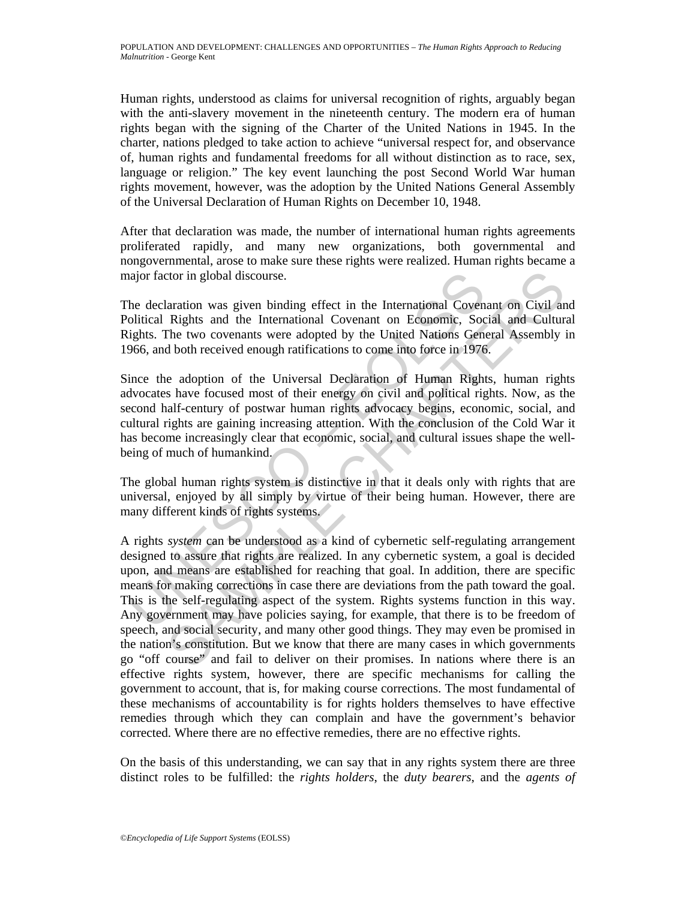Human rights, understood as claims for universal recognition of rights, arguably began with the anti-slavery movement in the nineteenth century. The modern era of human rights began with the signing of the Charter of the United Nations in 1945. In the charter*,* nations pledged to take action to achieve "universal respect for, and observance of, human rights and fundamental freedoms for all without distinction as to race, sex, language or religion." The key event launching the post Second World War human rights movement, however, was the adoption by the United Nations General Assembly of the Universal Declaration of Human Rights on December 10, 1948.

After that declaration was made, the number of international human rights agreements proliferated rapidly, and many new organizations, both governmental and nongovernmental, arose to make sure these rights were realized. Human rights became a major factor in global discourse.

The declaration was given binding effect in the International Covenant on Civil and Political Rights and the International Covenant on Economic, Social and Cultural Rights. The two covenants were adopted by the United Nations General Assembly in 1966, and both received enough ratifications to come into force in 1976.

Since the adoption of the Universal Declaration of Human Rights, human rights advocates have focused most of their energy on civil and political rights. Now, as the second half-century of postwar human rights advocacy begins, economic, social, and cultural rights are gaining increasing attention. With the conclusion of the Cold War it has become increasingly clear that economic, social, and cultural issues shape the wellbeing of much of humankind.

The global human rights system is distinctive in that it deals only with rights that are universal, enjoyed by all simply by virtue of their being human. However, there are many different kinds of rights systems.

agior factor in global discourse.<br>
he declaration was given binding effect in the International Coven<br>
olitical Rights and the International Covenant on Economic, Society<br>
sights. The two covenants were adopted by the Unit tor in global discourse.<br>
Ration was given binding effect in the International Covenant on Civil an<br>
Rights and the International Covenant on Economic, Social and Cultur<br>
The two covenants were adopted by the United Nation A rights *system* can be understood as a kind of cybernetic self-regulating arrangement designed to assure that rights are realized. In any cybernetic system, a goal is decided upon, and means are established for reaching that goal. In addition, there are specific means for making corrections in case there are deviations from the path toward the goal. This is the self-regulating aspect of the system. Rights systems function in this way. Any government may have policies saying, for example, that there is to be freedom of speech, and social security, and many other good things. They may even be promised in the nation's constitution. But we know that there are many cases in which governments go "off course" and fail to deliver on their promises. In nations where there is an effective rights system, however, there are specific mechanisms for calling the government to account, that is, for making course corrections. The most fundamental of these mechanisms of accountability is for rights holders themselves to have effective remedies through which they can complain and have the government's behavior corrected. Where there are no effective remedies, there are no effective rights.

On the basis of this understanding, we can say that in any rights system there are three distinct roles to be fulfilled: the *rights holders*, the *duty bearers*, and the *agents of*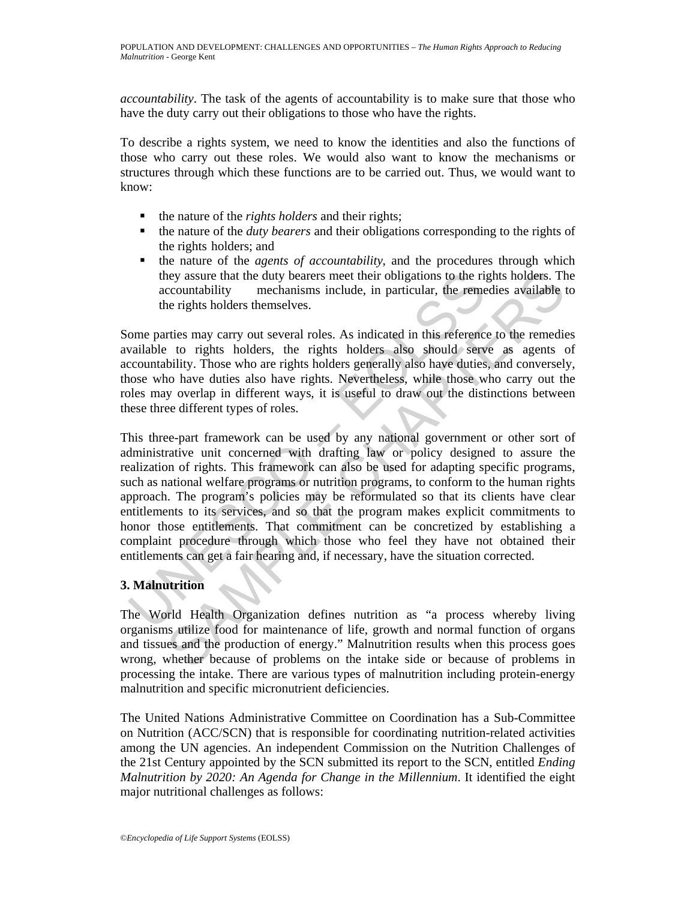*accountability*. The task of the agents of accountability is to make sure that those who have the duty carry out their obligations to those who have the rights.

To describe a rights system, we need to know the identities and also the functions of those who carry out these roles. We would also want to know the mechanisms or structures through which these functions are to be carried out. Thus, we would want to know:

- the nature of the *rights holders* and their rights;
- the nature of the *duty bearers* and their obligations corresponding to the rights of the rights holders; and
- the nature of the *agents of accountability*, and the procedures through which they assure that the duty bearers meet their obligations to the rights holders. The accountability mechanisms include, in particular, the remedies available to the rights holders themselves.

Some parties may carry out several roles. As indicated in this reference to the remedies available to rights holders, the rights holders also should serve as agents of accountability. Those who are rights holders generally also have duties, and conversely, those who have duties also have rights. Nevertheless, while those who carry out the roles may overlap in different ways, it is useful to draw out the distinctions between these three different types of roles.

they assure that the duty bearers meet their obligations to the rijation accountability mechanisms include, in particular, the remember rights holders themselves.<br>
Ome parties may carry out several roles. As indicated in t ney assure that the duty bearers meet their obligations to the rights holders. The emotios incontrability mechanism include, in particular, the remedies available tegents holders the medies available the rights holders the This three-part framework can be used by any national government or other sort of administrative unit concerned with drafting law or policy designed to assure the realization of rights. This framework can also be used for adapting specific programs, such as national welfare programs or nutrition programs, to conform to the human rights approach. The program's policies may be reformulated so that its clients have clear entitlements to its services, and so that the program makes explicit commitments to honor those entitlements. That commitment can be concretized by establishing a complaint procedure through which those who feel they have not obtained their entitlements can get a fair hearing and, if necessary, have the situation corrected.

# **3. Malnutrition**

The World Health Organization defines nutrition as "a process whereby living organisms utilize food for maintenance of life, growth and normal function of organs and tissues and the production of energy." Malnutrition results when this process goes wrong, whether because of problems on the intake side or because of problems in processing the intake. There are various types of malnutrition including protein-energy malnutrition and specific micronutrient deficiencies.

The United Nations Administrative Committee on Coordination has a Sub-Committee on Nutrition (ACC/SCN) that is responsible for coordinating nutrition-related activities among the UN agencies. An independent Commission on the Nutrition Challenges of the 21st Century appointed by the SCN submitted its report to the SCN, entitled *Ending Malnutrition by 2020: An Agenda for Change in the Millennium*. It identified the eight major nutritional challenges as follows: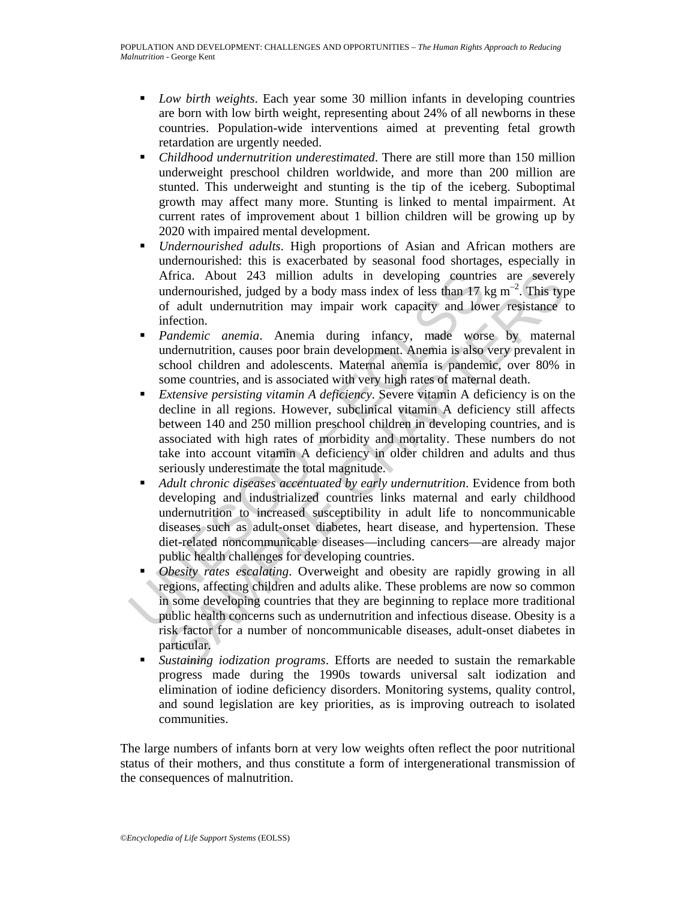- *Low birth weights*. Each year some 30 million infants in developing countries are born with low birth weight, representing about 24% of all newborns in these countries. Population-wide interventions aimed at preventing fetal growth retardation are urgently needed.
- *Childhood undernutrition underestimated*. There are still more than 150 million underweight preschool children worldwide, and more than 200 million are stunted. This underweight and stunting is the tip of the iceberg. Suboptimal growth may affect many more. Stunting is linked to mental impairment. At current rates of improvement about 1 billion children will be growing up by 2020 with impaired mental development.
- *Undernourished adults*. High proportions of Asian and African mothers are undernourished: this is exacerbated by seasonal food shortages, especially in Africa. About 243 million adults in developing countries are severely undernourished, judged by a body mass index of less than 17 kg m<sup>-2</sup>. This type of adult undernutrition may impair work capacity and lower resistance to infection.
- *Pandemic anemia*. Anemia during infancy, made worse by maternal undernutrition, causes poor brain development. Anemia is also very prevalent in school children and adolescents. Maternal anemia is pandemic, over 80% in some countries, and is associated with very high rates of maternal death.
- *Extensive persisting vitamin A deficiency*. Severe vitamin A deficiency is on the decline in all regions. However, subclinical vitamin A deficiency still affects between 140 and 250 million preschool children in developing countries, and is associated with high rates of morbidity and mortality. These numbers do not take into account vitamin A deficiency in older children and adults and thus seriously underestimate the total magnitude.
- Africa. About 243 million adults in developing countrivalent modernourished, judged by a body mass index of less than 17 lof adult undernutrition may impair work capacity and low infection.<br>
Pandemic anemia. Anemia during frica. About 243 million adults in developing countries are severel<br>of adult undernutished, judged by a body mass index of less than 17 kg m<sup>-2</sup>. This typ<br>f adult undernution may impair work capacity and lower resistance t *Adult chronic diseases accentuated by early undernutrition*. Evidence from both developing and industrialized countries links maternal and early childhood undernutrition to increased susceptibility in adult life to noncommunicable diseases such as adult-onset diabetes, heart disease, and hypertension. These diet-related noncommunicable diseases—including cancers—are already major public health challenges for developing countries.
	- *Obesity rates escalating*. Overweight and obesity are rapidly growing in all regions, affecting children and adults alike. These problems are now so common in some developing countries that they are beginning to replace more traditional public health concerns such as undernutrition and infectious disease. Obesity is a risk factor for a number of noncommunicable diseases, adult-onset diabetes in particular.
	- *Sustaining iodization programs*. Efforts are needed to sustain the remarkable progress made during the 1990s towards universal salt iodization and elimination of iodine deficiency disorders. Monitoring systems, quality control, and sound legislation are key priorities, as is improving outreach to isolated communities.

The large numbers of infants born at very low weights often reflect the poor nutritional status of their mothers, and thus constitute a form of intergenerational transmission of the consequences of malnutrition.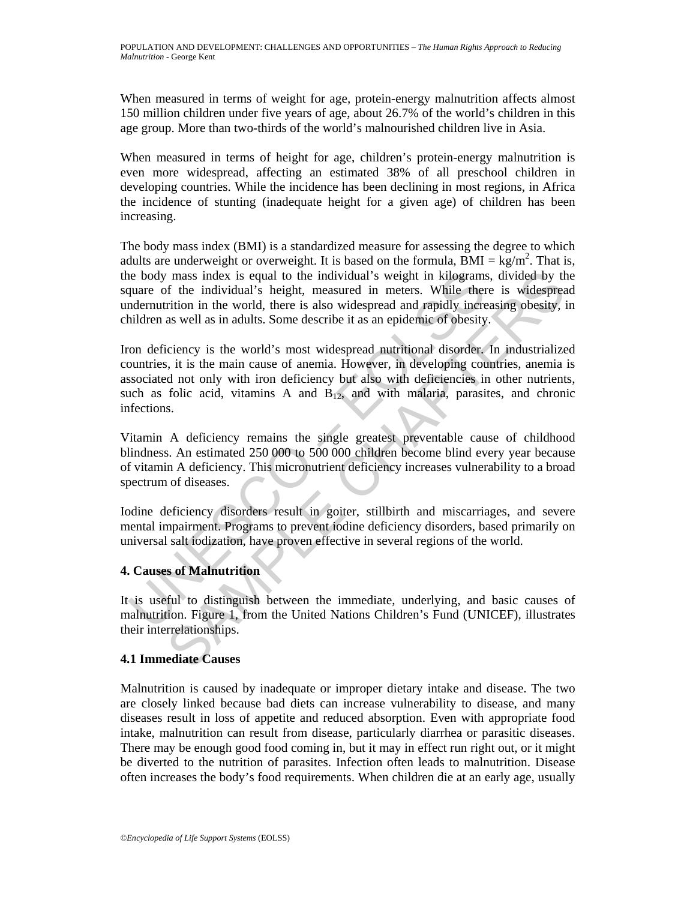When measured in terms of weight for age, protein-energy malnutrition affects almost 150 million children under five years of age, about 26.7% of the world's children in this age group. More than two-thirds of the world's malnourished children live in Asia.

When measured in terms of height for age, children's protein-energy malnutrition is even more widespread, affecting an estimated 38% of all preschool children in developing countries. While the incidence has been declining in most regions, in Africa the incidence of stunting (inadequate height for a given age) of children has been increasing.

The body mass index (BMI) is a standardized measure for assessing the degree to which adults are underweight or overweight. It is based on the formula,  $\widetilde{BMI} = \text{kg/m}^2$ . That is, the body mass index is equal to the individual's weight in kilograms, divided by the square of the individual's height, measured in meters. While there is widespread undernutrition in the world, there is also widespread and rapidly increasing obesity, in children as well as in adults. Some describe it as an epidemic of obesity.

is the body mass index is equal to the individual's weight in kilograms<br>
quare of the individual's height, measured in meters. While the<br>
ndermutrition in the world, there is also widespread and rapidly incre-<br>
indernation mass index is equal to the individual's weight in kilograms, divided by the free individuals's height, measured in meters. While there is widespread in the world, there is also widespread and rapidly increasing obesity, i Iron deficiency is the world's most widespread nutritional disorder. In industrialized countries, it is the main cause of anemia. However, in developing countries, anemia is associated not only with iron deficiency but also with deficiencies in other nutrients, such as folic acid, vitamins A and  $B_{12}$ , and with malaria, parasites, and chronic infections.

Vitamin A deficiency remains the single greatest preventable cause of childhood blindness. An estimated 250 000 to 500 000 children become blind every year because of vitamin A deficiency. This micronutrient deficiency increases vulnerability to a broad spectrum of diseases.

Iodine deficiency disorders result in goiter, stillbirth and miscarriages, and severe mental impairment. Programs to prevent iodine deficiency disorders, based primarily on universal salt iodization, have proven effective in several regions of the world.

# **4. Causes of Malnutrition**

It is useful to distinguish between the immediate, underlying, and basic causes of malnutrition. Figure 1, from the United Nations Children's Fund (UNICEF), illustrates their interrelationships.

# **4.1 Immediate Causes**

Malnutrition is caused by inadequate or improper dietary intake and disease. The two are closely linked because bad diets can increase vulnerability to disease, and many diseases result in loss of appetite and reduced absorption. Even with appropriate food intake, malnutrition can result from disease, particularly diarrhea or parasitic diseases. There may be enough good food coming in, but it may in effect run right out, or it might be diverted to the nutrition of parasites. Infection often leads to malnutrition. Disease often increases the body's food requirements. When children die at an early age, usually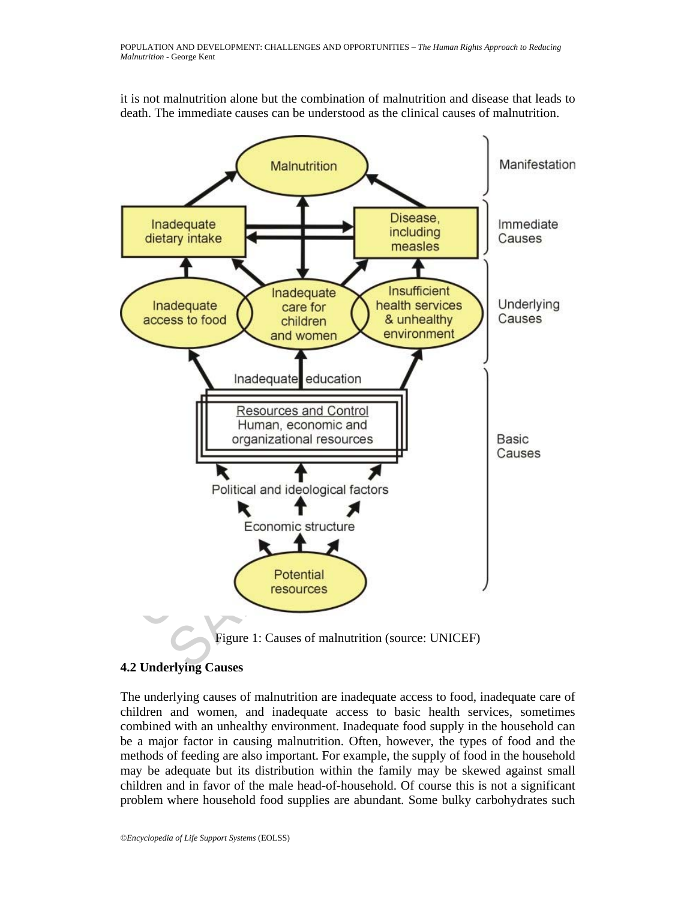

it is not malnutrition alone but the combination of malnutrition and disease that leads to death. The immediate causes can be understood as the clinical causes of malnutrition.

# **4.2 Underlying Causes**

The underlying causes of malnutrition are inadequate access to food, inadequate care of children and women, and inadequate access to basic health services, sometimes combined with an unhealthy environment. Inadequate food supply in the household can be a major factor in causing malnutrition. Often, however, the types of food and the methods of feeding are also important. For example, the supply of food in the household may be adequate but its distribution within the family may be skewed against small children and in favor of the male head-of-household. Of course this is not a significant problem where household food supplies are abundant. Some bulky carbohydrates such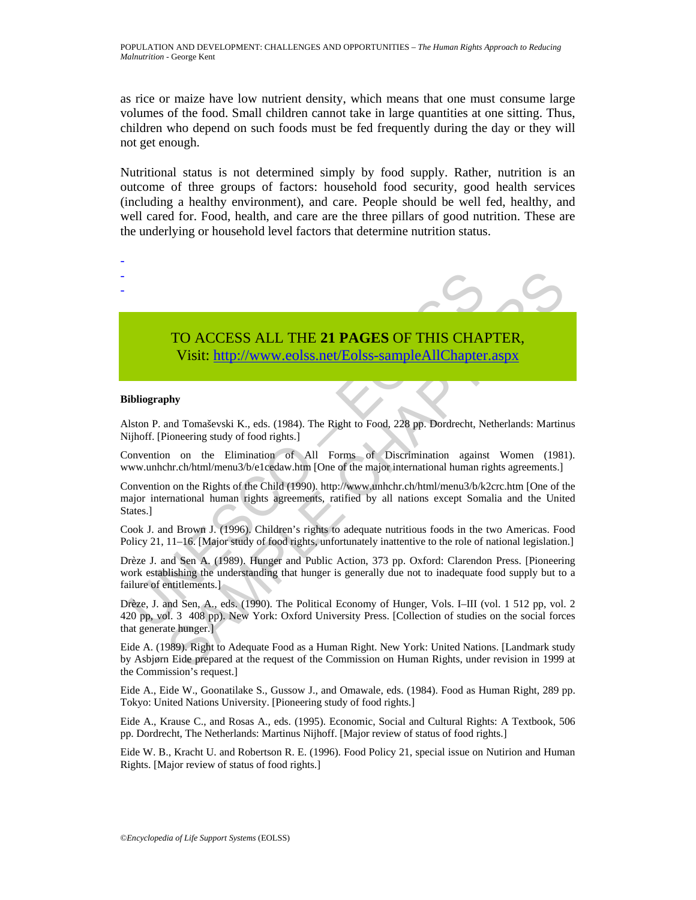as rice or maize have low nutrient density, which means that one must consume large volumes of the food. Small children cannot take in large quantities at one sitting. Thus, children who depend on such foods must be fed frequently during the day or they will not get enough.

Nutritional status is not determined simply by food supply. Rather, nutrition is an outcome of three groups of factors: household food security, good health services (including a healthy environment), and care. People should be well fed, healthy, and well cared for. Food, health, and care are the three pillars of good nutrition. These are the underlying or household level factors that determine nutrition status.

# TO ACCESS ALL THE **21 PAGES** OF THIS CHAPTER,

Visit: http://www.eolss.net/Eolss-sampleAllChapter.aspx

### **Bibliography**

- - -

Alston P. and Tomaševski K., eds. (1984). The Right to Food, 228 pp. Dordrecht, Netherlands: Martinus Nijhoff. [Pioneering study of food rights.]

Convention on the Elimination of All Forms of Discrimination against Women (1981). www.unhchr.ch/html/menu3/b/e1cedaw.htm [One of the major international human rights agreements.]

TO ACCESS ALL THE 21 PAGES OF THIS CHAIN Visit: http://www.eolss.net/Eolss-sample All Chapter<br>
bliography<br>
bliography<br>
ibliography<br>
ibliography<br>
ibliography<br>
ibliography<br>
ibliography<br>
ibliography<br>
ibliography<br>
ibliography<br> TO ACCESS ALL THE 21 PAGES OF THIS CHA[PTER](https://www.eolss.net/ebooklib/sc_cart.aspx?File=E1-13-05-05),<br>Visit: http://www.eolss.net/Eolss-sample All Chapter.aspx<br>phy<br>than a Tomasevski K., eds. (1984). The Right to Food, 228 pp. Dordrecht, Netherlands: Martin<br>inometry study of food Convention on the Rights of the Child (1990). http://www.unhchr.ch/html/menu3/b/k2crc.htm [One of the major international human rights agreements, ratified by all nations except Somalia and the United States.<sup>1</sup>

Cook J. and Brown J. (1996). Children's rights to adequate nutritious foods in the two Americas. Food Policy 21, 11–16. [Major study of food rights, unfortunately inattentive to the role of national legislation.]

Drèze J. and Sen A. (1989). Hunger and Public Action, 373 pp. Oxford: Clarendon Press. [Pioneering work establishing the understanding that hunger is generally due not to inadequate food supply but to a failure of entitlements.]

Drèze, J. and Sen, A., eds. (1990). The Political Economy of Hunger, Vols. I–III (vol. 1 512 pp, vol. 2 420 pp, vol. 3 408 pp). New York: Oxford University Press. [Collection of studies on the social forces that generate hunger.]

Eide A. (1989). Right to Adequate Food as a Human Right. New York: United Nations. [Landmark study by Asbjørn Eide prepared at the request of the Commission on Human Rights, under revision in 1999 at the Commission's request.]

Eide A., Eide W., Goonatilake S., Gussow J., and Omawale, eds. (1984). Food as Human Right, 289 pp. Tokyo: United Nations University. [Pioneering study of food rights.]

Eide A., Krause C., and Rosas A., eds. (1995). Economic, Social and Cultural Rights: A Textbook, 506 pp. Dordrecht, The Netherlands: Martinus Nijhoff. [Major review of status of food rights.]

Eide W. B., Kracht U. and Robertson R. E. (1996). Food Policy 21, special issue on Nutirion and Human Rights. [Major review of status of food rights.]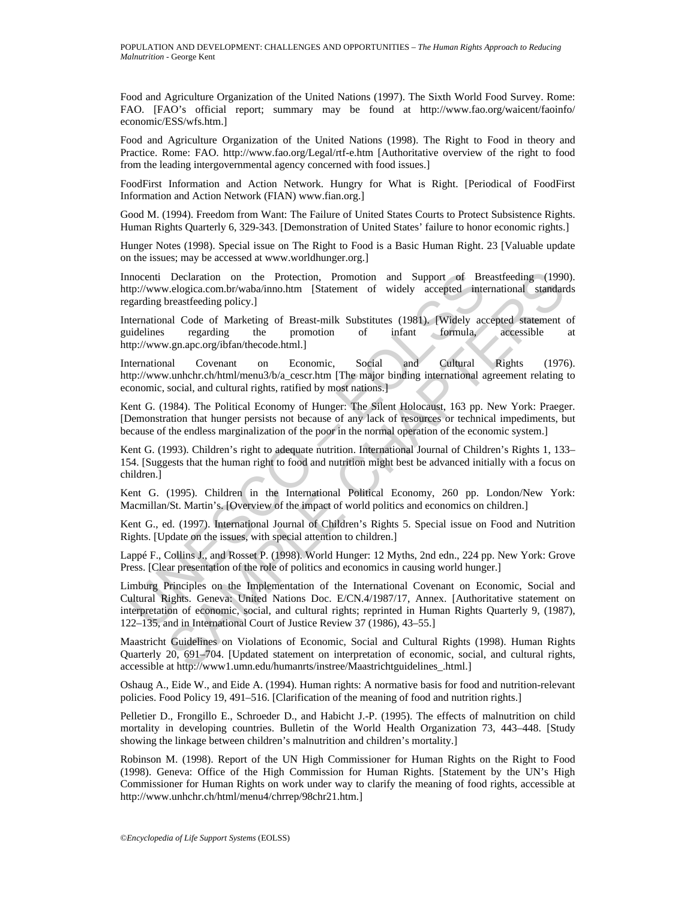Food and Agriculture Organization of the United Nations (1997). The Sixth World Food Survey. Rome: FAO. [FAO's official report; summary may be found at http://www.fao.org/waicent/faoinfo/ economic/ESS/wfs.htm.]

Food and Agriculture Organization of the United Nations (1998). The Right to Food in theory and Practice. Rome: FAO. http://www.fao.org/Legal/rtf-e.htm [Authoritative overview of the right to food from the leading intergovernmental agency concerned with food issues.]

FoodFirst Information and Action Network. Hungry for What is Right. [Periodical of FoodFirst Information and Action Network (FIAN) www.fian.org.]

Good M. (1994). Freedom from Want: The Failure of United States Courts to Protect Subsistence Rights. Human Rights Quarterly 6, 329-343. [Demonstration of United States' failure to honor economic rights.]

Hunger Notes (1998). Special issue on The Right to Food is a Basic Human Right. 23 [Valuable update on the issues; may be accessed at www.worldhunger.org.]

Innocenti Declaration on the Protection, Promotion and Support of Breastfeeding (1990). http://www.elogica.com.br/waba/inno.htm [Statement of widely accepted international standards regarding breastfeeding policy.]

International Code of Marketing of Breast-milk Substitutes (1981). [Widely accepted statement of guidelines regarding the promotion of infant formula, accessible at http://www.gn.apc.org/ibfan/thecode.html.]

International Covenant on Economic, Social and Cultural Rights (1976). http://www.unhchr.ch/html/menu3/b/a\_cescr.htm [The major binding international agreement relating to economic, social, and cultural rights, ratified by most nations.]

Kent G. (1984). The Political Economy of Hunger: The Silent Holocaust, 163 pp. New York: Praeger. [Demonstration that hunger persists not because of any lack of resources or technical impediments, but because of the endless marginalization of the poor in the normal operation of the economic system.]

Kent G. (1993). Children's right to adequate nutrition. International Journal of Children's Rights 1, 133– 154. [Suggests that the human right to food and nutrition might best be advanced initially with a focus on children.]

Kent G. (1995). Children in the International Political Economy, 260 pp. London/New York: Macmillan/St. Martin's. [Overview of the impact of world politics and economics on children.]

Kent G., ed. (1997). International Journal of Children's Rights 5. Special issue on Food and Nutrition Rights. [Update on the issues, with special attention to children.]

Lappé F., Collins J., and Rosset P. (1998). World Hunger: 12 Myths, 2nd edn., 224 pp. New York: Grove Press. [Clear presentation of the role of politics and economics in causing world hunger.]

mocenti Declaration on the Protection, Promotion and Support of Brazilney/www.elogica.com.br/wwabi/mo.htm [Statement of widely accepted integrating becauses accelering policy.]<br>garding breastfeeding policy.]<br>termational Co Declaration on the Protection, Promotion and Support of Breastfeeding (1990<br>
velogica.com.br/wabarimo.htm [Statement of widely accepted international standard<br>
versestfeeding policy.]<br>
all Code of Marketing of Breast-milk Limburg Principles on the Implementation of the International Covenant on Economic, Social and Cultural Rights. Geneva: United Nations Doc. E/CN.4/1987/17, Annex. [Authoritative statement on interpretation of economic, social, and cultural rights; reprinted in Human Rights Quarterly 9, (1987), 122–135, and in International Court of Justice Review 37 (1986), 43–55.]

Maastricht Guidelines on Violations of Economic, Social and Cultural Rights (1998). Human Rights Quarterly 20, 691–704. [Updated statement on interpretation of economic, social, and cultural rights, accessible at http://www1.umn.edu/humanrts/instree/Maastrichtguidelines\_.html.]

Oshaug A., Eide W., and Eide A. (1994). Human rights: A normative basis for food and nutrition-relevant policies. Food Policy 19, 491–516. [Clarification of the meaning of food and nutrition rights.]

Pelletier D., Frongillo E., Schroeder D., and Habicht J.-P. (1995). The effects of malnutrition on child mortality in developing countries. Bulletin of the World Health Organization 73, 443–448. [Study showing the linkage between children's malnutrition and children's mortality.]

Robinson M. (1998). Report of the UN High Commissioner for Human Rights on the Right to Food (1998). Geneva: Office of the High Commission for Human Rights. [Statement by the UN's High Commissioner for Human Rights on work under way to clarify the meaning of food rights, accessible at http://www.unhchr.ch/html/menu4/chrrep/98chr21.htm.]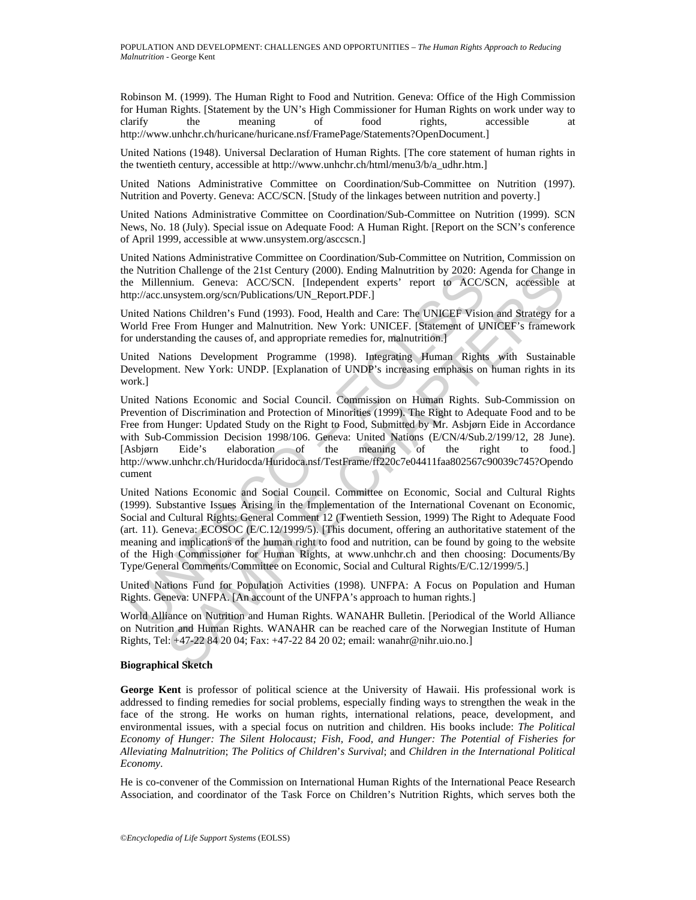Robinson M. (1999). The Human Right to Food and Nutrition. Geneva: Office of the High Commission for Human Rights. [Statement by the UN's High Commissioner for Human Rights on work under way to clarify the meaning of food rights, accessible at http://www.unhchr.ch/huricane/huricane.nsf/FramePage/Statements?OpenDocument.]

United Nations (1948). Universal Declaration of Human Rights. [The core statement of human rights in the twentieth century, accessible at http://www.unhchr.ch/html/menu3/b/a\_udhr.htm.]

United Nations Administrative Committee on Coordination/Sub-Committee on Nutrition (1997). Nutrition and Poverty. Geneva: ACC/SCN. [Study of the linkages between nutrition and poverty.]

United Nations Administrative Committee on Coordination/Sub-Committee on Nutrition (1999). SCN News, No. 18 (July). Special issue on Adequate Food: A Human Right. [Report on the SCN's conference of April 1999, accessible at www.unsystem.org/asccscn.]

United Nations Administrative Committee on Coordination/Sub-Committee on Nutrition, Commission on the Nutrition Challenge of the 21st Century (2000). Ending Malnutrition by 2020: Agenda for Change in the Millennium. Geneva: ACC/SCN. [Independent experts' report to ACC/SCN, accessible at http://acc.unsystem.org/scn/Publications/UN\_Report.PDF.]

United Nations Children's Fund (1993). Food, Health and Care: The UNICEF Vision and Strategy for a World Free From Hunger and Malnutrition. New York: UNICEF. [Statement of UNICEF's framework for understanding the causes of, and appropriate remedies for, malnutrition.]

United Nations Development Programme (1998). Integrating Human Rights with Sustainable Development. New York: UNDP. [Explanation of UNDP's increasing emphasis on human rights in its work.]

Putunton Chatenge of the 21st Century (2000). Ending Waturuthon by 2020: A<br>e Millennium. Geneva: ACC/SCN, [Independent experts' report to ACC/S<br>
fp://acc.unsystem.org/scn/Publications/UN\_Report.PDF.]<br>
inited Nations Childr on Challenge of the 21st Century (2000). Enoing Malutution by 2020: Agenda for Change of the Charlenge of the Charlenge of the Charlenge of the Charlenge of Excelure Figure and Malutution (1993). Food, Health and Care: The United Nations Economic and Social Council. Commission on Human Rights. Sub-Commission on Prevention of Discrimination and Protection of Minorities (1999). The Right to Adequate Food and to be Free from Hunger: Updated Study on the Right to Food, Submitted by Mr. Asbjørn Eide in Accordance with Sub-Commission Decision 1998/106. Geneva: United Nations (E/CN/4/Sub.2/199/12, 28 June). [Asbjørn Eide's elaboration of the meaning of the right to food.] http://www.unhchr.ch/Huridocda/Huridoca.nsf/TestFrame/ff220c7e04411faa802567c90039c745?Opendo cument

United Nations Economic and Social Council. Committee on Economic, Social and Cultural Rights (1999). Substantive Issues Arising in the Implementation of the International Covenant on Economic, Social and Cultural Rights: General Comment 12 (Twentieth Session, 1999) The Right to Adequate Food (art. 11). Geneva: ECOSOC (E/C.12/1999/5). [This document, offering an authoritative statement of the meaning and implications of the human right to food and nutrition, can be found by going to the website of the High Commissioner for Human Rights, at www.unhchr.ch and then choosing: Documents/By Type/General Comments/Committee on Economic, Social and Cultural Rights/E/C.12/1999/5.]

United Nations Fund for Population Activities (1998). UNFPA: A Focus on Population and Human Rights. Geneva: UNFPA. [An account of the UNFPA's approach to human rights.]

World Alliance on Nutrition and Human Rights. WANAHR Bulletin. [Periodical of the World Alliance on Nutrition and Human Rights. WANAHR can be reached care of the Norwegian Institute of Human Rights, Tel: +47-22 84 20 04; Fax: +47-22 84 20 02; email: wanahr@nihr.uio.no.]

### **Biographical Sketch**

**George Kent** is professor of political science at the University of Hawaii. His professional work is addressed to finding remedies for social problems, especially finding ways to strengthen the weak in the face of the strong. He works on human rights, international relations, peace, development, and environmental issues, with a special focus on nutrition and children. His books include: *The Political Economy of Hunger: The Silent Holocaust; Fish, Food, and Hunger: The Potential of Fisheries for Alleviating Malnutrition*; *The Politics of Children*'*s Survival*; and *Children in the International Political Economy*.

He is co-convener of the Commission on International Human Rights of the International Peace Research Association, and coordinator of the Task Force on Children's Nutrition Rights, which serves both the